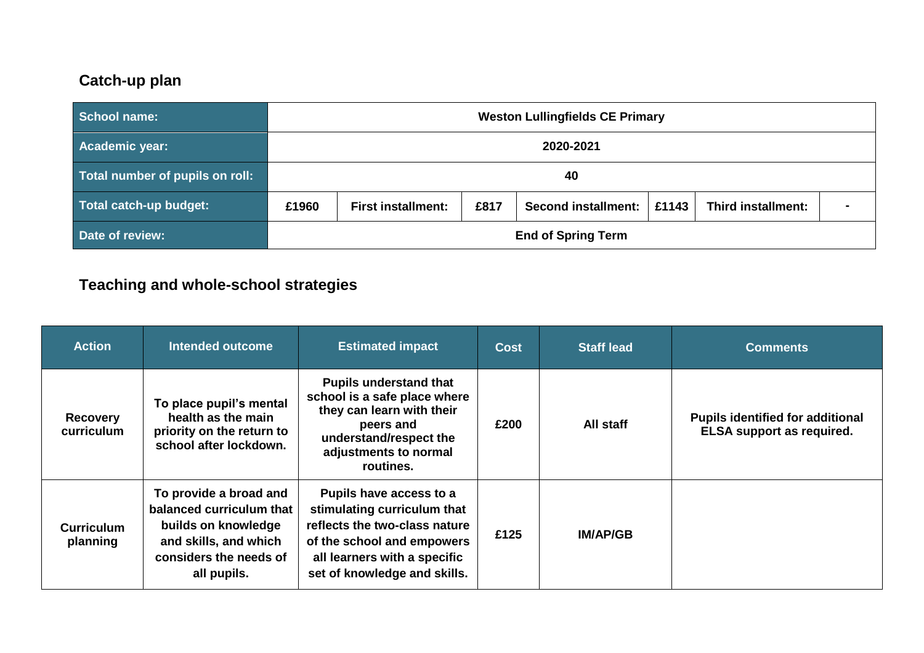## **Catch-up plan**

| <b>School name:</b>             | <b>Weston Lullingfields CE Primary</b>                                                                  |  |  |  |  |  |  |
|---------------------------------|---------------------------------------------------------------------------------------------------------|--|--|--|--|--|--|
| Academic year:                  | 2020-2021                                                                                               |  |  |  |  |  |  |
| Total number of pupils on roll: | 40                                                                                                      |  |  |  |  |  |  |
| Total catch-up budget:          | £817<br>£1143<br>Third installment:<br>£1960<br><b>First installment:</b><br><b>Second installment:</b> |  |  |  |  |  |  |
| Date of review:                 | <b>End of Spring Term</b>                                                                               |  |  |  |  |  |  |

## **Teaching and whole-school strategies**

| <b>Action</b>                 | Intended outcome                                                                                                                            | <b>Estimated impact</b>                                                                                                                                                               | <b>Cost</b> | <b>Staff lead</b> | <b>Comments</b>                                                             |
|-------------------------------|---------------------------------------------------------------------------------------------------------------------------------------------|---------------------------------------------------------------------------------------------------------------------------------------------------------------------------------------|-------------|-------------------|-----------------------------------------------------------------------------|
| <b>Recovery</b><br>curriculum | To place pupil's mental<br>health as the main<br>priority on the return to<br>school after lockdown.                                        | <b>Pupils understand that</b><br>school is a safe place where<br>they can learn with their<br>peers and<br>understand/respect the<br>adjustments to normal<br>routines.               | £200        | All staff         | <b>Pupils identified for additional</b><br><b>ELSA</b> support as required. |
| <b>Curriculum</b><br>planning | To provide a broad and<br>balanced curriculum that<br>builds on knowledge<br>and skills, and which<br>considers the needs of<br>all pupils. | Pupils have access to a<br>stimulating curriculum that<br>reflects the two-class nature<br>of the school and empowers<br>all learners with a specific<br>set of knowledge and skills. | £125        | <b>IM/AP/GB</b>   |                                                                             |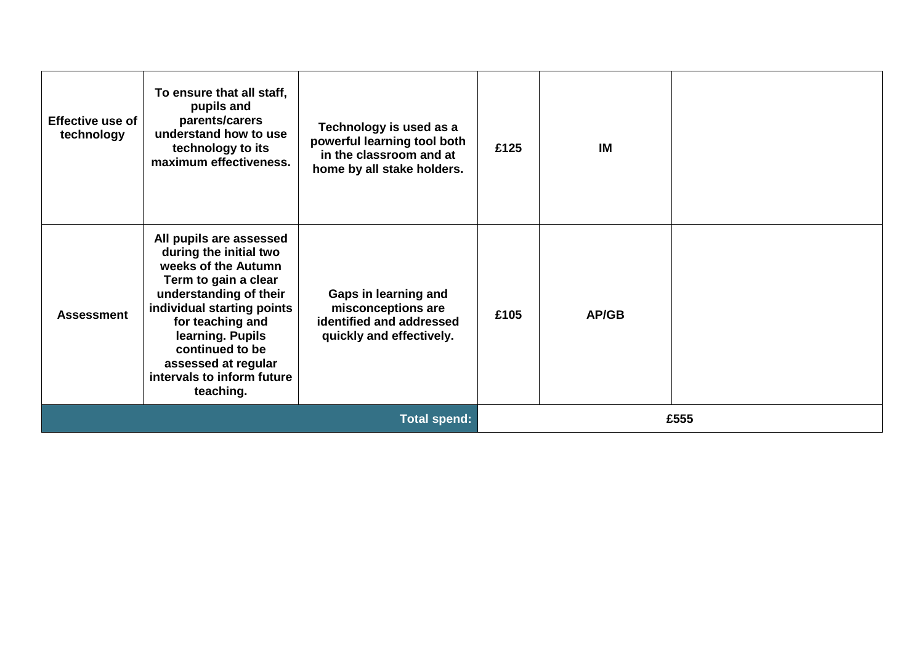| <b>Effective use of</b><br>technology | To ensure that all staff,<br>pupils and<br>parents/carers<br>understand how to use<br>technology to its<br>maximum effectiveness.                                                                                                                                                     | Technology is used as a<br>powerful learning tool both<br>in the classroom and at<br>home by all stake holders. | £125 | <b>IM</b> |  |
|---------------------------------------|---------------------------------------------------------------------------------------------------------------------------------------------------------------------------------------------------------------------------------------------------------------------------------------|-----------------------------------------------------------------------------------------------------------------|------|-----------|--|
| <b>Assessment</b>                     | All pupils are assessed<br>during the initial two<br>weeks of the Autumn<br>Term to gain a clear<br>understanding of their<br>individual starting points<br>for teaching and<br>learning. Pupils<br>continued to be<br>assessed at regular<br>intervals to inform future<br>teaching. | Gaps in learning and<br>misconceptions are<br>identified and addressed<br>quickly and effectively.              | £105 | AP/GB     |  |
| <b>Total spend:</b>                   |                                                                                                                                                                                                                                                                                       |                                                                                                                 | £555 |           |  |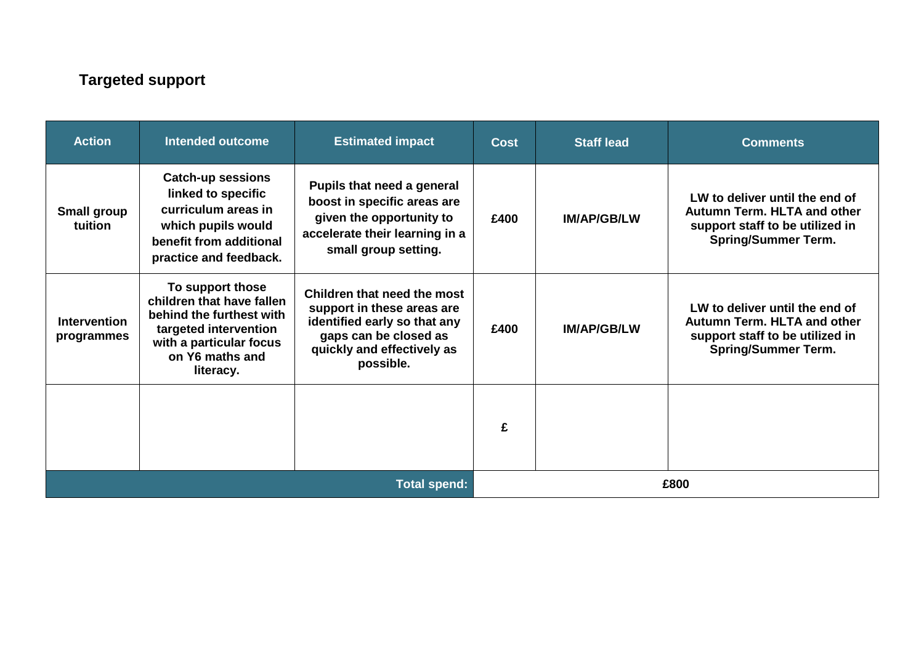## **Targeted support**

| <b>Action</b>                     | <b>Intended outcome</b>                                                                                                                                       | <b>Estimated impact</b>                                                                                                                                       | <b>Cost</b> | <b>Staff lead</b>  | <b>Comments</b>                                                                                                                       |
|-----------------------------------|---------------------------------------------------------------------------------------------------------------------------------------------------------------|---------------------------------------------------------------------------------------------------------------------------------------------------------------|-------------|--------------------|---------------------------------------------------------------------------------------------------------------------------------------|
| <b>Small group</b><br>tuition     | <b>Catch-up sessions</b><br>linked to specific<br>curriculum areas in<br>which pupils would<br>benefit from additional<br>practice and feedback.              | Pupils that need a general<br>boost in specific areas are<br>given the opportunity to<br>accelerate their learning in a<br>small group setting.               | £400        | <b>IM/AP/GB/LW</b> | LW to deliver until the end of<br><b>Autumn Term. HLTA and other</b><br>support staff to be utilized in<br><b>Spring/Summer Term.</b> |
| <b>Intervention</b><br>programmes | To support those<br>children that have fallen<br>behind the furthest with<br>targeted intervention<br>with a particular focus<br>on Y6 maths and<br>literacy. | Children that need the most<br>support in these areas are<br>identified early so that any<br>gaps can be closed as<br>quickly and effectively as<br>possible. | £400        | <b>IM/AP/GB/LW</b> | LW to deliver until the end of<br><b>Autumn Term. HLTA and other</b><br>support staff to be utilized in<br><b>Spring/Summer Term.</b> |
|                                   |                                                                                                                                                               |                                                                                                                                                               | £           |                    |                                                                                                                                       |
| <b>Total spend:</b>               |                                                                                                                                                               |                                                                                                                                                               | £800        |                    |                                                                                                                                       |